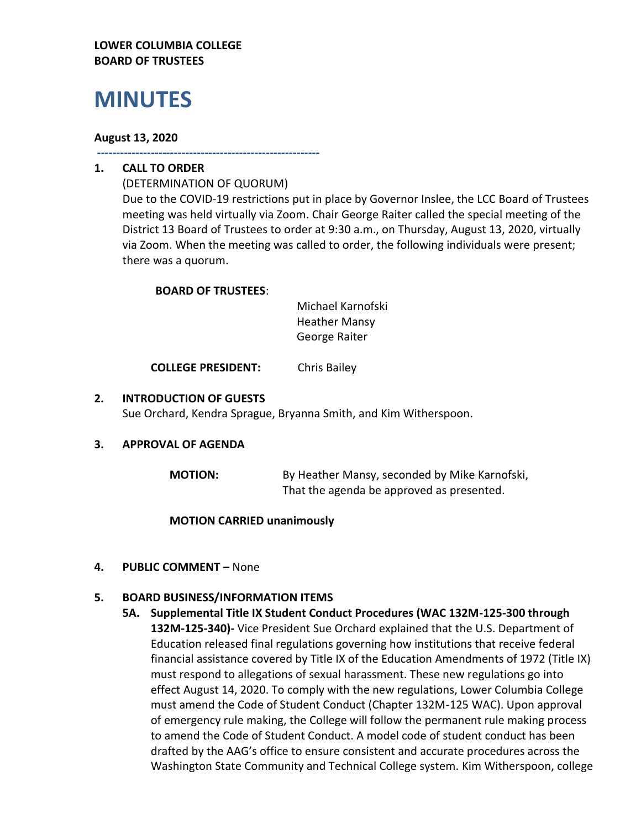### **LOWER COLUMBIA COLLEGE BOARD OF TRUSTEES**

# **MINUTES**

### **August 13, 2020**

**----------------------------------------------------------**

# **1. CALL TO ORDER**

(DETERMINATION OF QUORUM) Due to the COVID-19 restrictions put in place by Governor Inslee, the LCC Board of Trustees meeting was held virtually via Zoom. Chair George Raiter called the special meeting of the District 13 Board of Trustees to order at 9:30 a.m., on Thursday, August 13, 2020, virtually via Zoom. When the meeting was called to order, the following individuals were present; there was a quorum.

## **BOARD OF TRUSTEES**:

Michael Karnofski Heather Mansy George Raiter

**COLLEGE PRESIDENT:** Chris Bailey

## **2. INTRODUCTION OF GUESTS**

Sue Orchard, Kendra Sprague, Bryanna Smith, and Kim Witherspoon.

#### **3. APPROVAL OF AGENDA**

**MOTION:** By Heather Mansy, seconded by Mike Karnofski, That the agenda be approved as presented.

#### **MOTION CARRIED unanimously**

## **4. PUBLIC COMMENT –** None

## **5. BOARD BUSINESS/INFORMATION ITEMS**

**5A. Supplemental Title IX Student Conduct Procedures (WAC 132M-125-300 through 132M-125-340)-** Vice President Sue Orchard explained that the U.S. Department of Education released final regulations governing how institutions that receive federal financial assistance covered by Title IX of the Education Amendments of 1972 (Title IX) must respond to allegations of sexual harassment. These new regulations go into effect August 14, 2020. To comply with the new regulations, Lower Columbia College must amend the Code of Student Conduct (Chapter 132M-125 WAC). Upon approval of emergency rule making, the College will follow the permanent rule making process to amend the Code of Student Conduct. A model code of student conduct has been drafted by the AAG's office to ensure consistent and accurate procedures across the Washington State Community and Technical College system. Kim Witherspoon, college